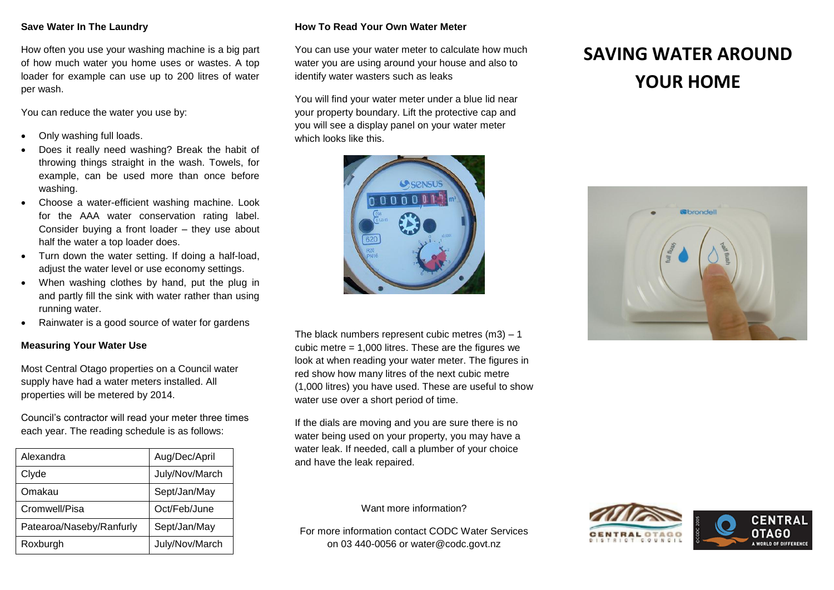## **Save Water In The Laundry**

How often you use your washing machine is a big part of how much water you home uses or wastes. A top loader for example can use up to 200 litres of water per wash.

You can reduce the water you use by:

- Only washing full loads.
- Does it really need washing? Break the habit of throwing things straight in the wash. Towels, for example, can be used more than once before washing.
- Choose a water-efficient washing machine. Look for the AAA water conservation rating label. Consider buying a front loader – they use about half the water a top loader does.
- Turn down the water setting. If doing a half-load, adjust the water level or use economy settings.
- When washing clothes by hand, put the plug in and partly fill the sink with water rather than using running water.
- Rainwater is a good source of water for gardens

#### **Measuring Your Water Use**

Most Central Otago properties on a Council water supply have had a water meters installed. All properties will be metered by 2014.

Council's contractor will read your meter three times each year. The reading schedule is as follows:

| Alexandra                | Aug/Dec/April  |
|--------------------------|----------------|
| Clyde                    | July/Nov/March |
| Omakau                   | Sept/Jan/May   |
| Cromwell/Pisa            | Oct/Feb/June   |
| Patearoa/Naseby/Ranfurly | Sept/Jan/May   |
| Roxburgh                 | July/Nov/March |

## **How To Read Your Own Water Meter**

You can use your water meter to calculate how much water you are using around your house and also to identify water wasters such as leaks

You will find your water meter under a blue lid near your property boundary. Lift the protective cap and you will see a display panel on your water meter which looks like this.



The black numbers represent cubic metres  $(m3) - 1$ cubic metre  $= 1,000$  litres. These are the figures we look at when reading your water meter. The figures in red show how many litres of the next cubic metre (1,000 litres) you have used. These are useful to show water use over a short period of time.

If the dials are moving and you are sure there is no water being used on your property, you may have a water leak. If needed, call a plumber of your choice and have the leak repaired.

# **SAVING WATER AROUND YOUR HOME**



Want more information?

For more information contact CODC Water Services on 03 440-0056 or [water@codc.govt.nz](mailto:info@codc.govt.nz)